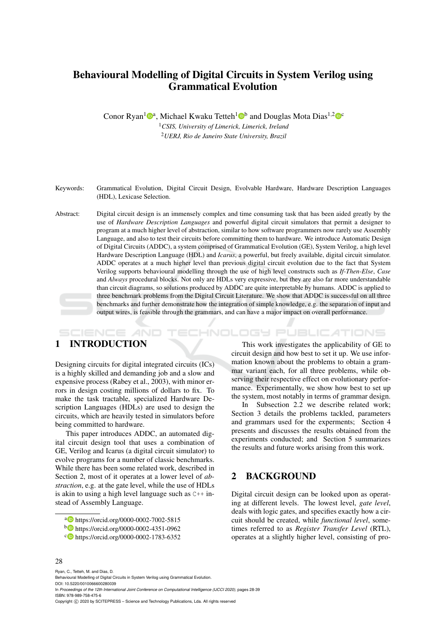# Behavioural Modelling of Digital Circuits in System Verilog using Grammatical Evolution

Conor Ryan<sup>1</sup><sup>®</sup>, Michael Kwaku Tetteh<sup>1</sup><sup>®</sup> and Douglas Mota Dias<sup>1,2</sup><sup>®</sup>

<sup>1</sup>*CSIS, University of Limerick, Limerick, Ireland* <sup>2</sup>*UERJ, Rio de Janeiro State University, Brazil*

Keywords: Grammatical Evolution, Digital Circuit Design, Evolvable Hardware, Hardware Description Languages (HDL), Lexicase Selection.

Abstract: Digital circuit design is an immensely complex and time consuming task that has been aided greatly by the use of *Hardware Description Languages* and powerful digital circuit simulators that permit a designer to program at a much higher level of abstraction, similar to how software programmers now rarely use Assembly Language, and also to test their circuits before committing them to hardware. We introduce Automatic Design of Digital Circuits (ADDC), a system comprised of Grammatical Evolution (GE), System Verilog, a high level Hardware Description Language (HDL) and *Icarus*, a powerful, but freely available, digital circuit simulator. ADDC operates at a much higher level than previous digital circuit evolution due to the fact that System Verilog supports behavioural modelling through the use of high level constructs such as *If-Then-Else*, *Case* and *Always* procedural blocks. Not only are HDLs very expressive, but they are also far more understandable than circuit diagrams, so solutions produced by ADDC are quite interpretable by humans. ADDC is applied to three benchmark problems from the Digital Circuit Literature. We show that ADDC is successful on all three benchmarks and further demonstrate how the integration of simple knowledge, e.g. the separation of input and output wires, is feasible through the grammars, and can have a major impact on overall performance.

# 1 INTRODUCTION

SCIENCE *A*ND

Designing circuits for digital integrated circuits (ICs) is a highly skilled and demanding job and a slow and expensive process (Rabey et al., 2003), with minor errors in design costing millions of dollars to fix. To make the task tractable, specialized Hardware Description Languages (HDLs) are used to design the circuits, which are heavily tested in simulators before being committed to hardware.

This paper introduces ADDC, an automated digital circuit design tool that uses a combination of GE, Verilog and Icarus (a digital circuit simulator) to evolve programs for a number of classic benchmarks. While there has been some related work, described in Section 2, most of it operates at a lower level of *abstraction*, e.g. at the gate level, while the use of HDLs is akin to using a high level language such as C++ instead of Assembly Language.

This work investigates the applicability of GE to circuit design and how best to set it up. We use information known about the problems to obtain a grammar variant each, for all three problems, while observing their respective effect on evolutionary performance. Experimentally, we show how best to set up the system, most notably in terms of grammar design.

HNOLOGY PUBLICATIONS

In Subsection 2.2 we describe related work; Section 3 details the problems tackled, parameters and grammars used for the experments; Section 4 presents and discusses the results obtained from the experiments conducted; and Section 5 summarizes the results and future works arising from this work.

## 2 BACKGROUND

Digital circuit design can be looked upon as operating at different levels. The lowest level, *gate level*, deals with logic gates, and specifies exactly how a circuit should be created, while *functional level*, sometimes referred to as *Register Transfer Level* (RTL), operates at a slightly higher level, consisting of pro-

#### 28

a https://orcid.org/0000-0002-7002-5815

<sup>b</sup> https://orcid.org/0000-0002-4351-0962

c https://orcid.org/0000-0002-1783-6352

Ryan, C., Tetteh, M. and Dias, D. Behavioural Modelling of Digital Circuits in System Verilog using Grammatical Evolution. DOI: 10.5220/0010066600280039 In *Proceedings of the 12th International Joint Conference on Computational Intelligence (IJCCI 2020)*, pages 28-39 ISBN: 978-989-758-475-6 Copyright © 2020 by SCITEPRESS - Science and Technology Publications, Lda. All rights reserved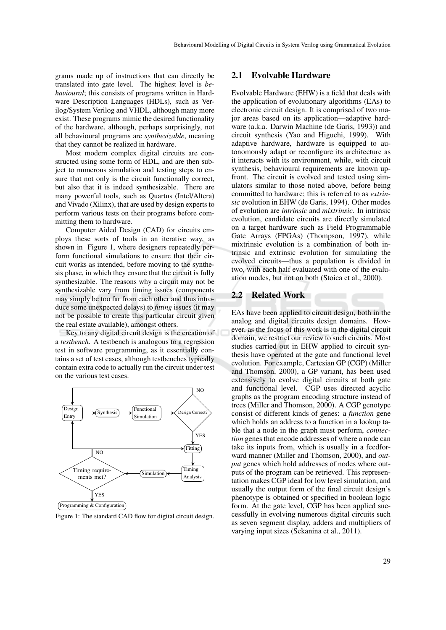grams made up of instructions that can directly be translated into gate level. The highest level is *behavioural*; this consists of programs written in Hardware Description Languages (HDLs), such as Verilog/System Verilog and VHDL, although many more exist. These programs mimic the desired functionality of the hardware, although, perhaps surprisingly, not all behavioural programs are *synthesizable*, meaning that they cannot be realized in hardware.

Most modern complex digital circuits are constructed using some form of HDL, and are then subject to numerous simulation and testing steps to ensure that not only is the circuit functionally correct, but also that it is indeed synthesizable. There are many powerful tools, such as Quartus (Intel/Altera) and Vivado (Xilinx), that are used by design experts to perform various tests on their programs before committing them to hardware.

Computer Aided Design (CAD) for circuits employs these sorts of tools in an iterative way, as shown in Figure 1, where designers repeatedly perform functional simulations to ensure that their circuit works as intended, before moving to the synthesis phase, in which they ensure that the circuit is fully synthesizable. The reasons why a circuit may not be synthesizable vary from timing issues (components may simply be too far from each other and thus introduce some unexpected delays) to *fitting* issues (it may not be possible to create this particular circuit given the real estate available), amongst others.

Key to any digital circuit design is the creation of a *testbench*. A testbench is analogous to a regression test in software programming, as it essentially contains a set of test cases, although testbenches typically contain extra code to actually run the circuit under test on the various test cases.



Figure 1: The standard CAD flow for digital circuit design.

## 2.1 Evolvable Hardware

Evolvable Hardware (EHW) is a field that deals with the application of evolutionary algorithms (EAs) to electronic circuit design. It is comprised of two major areas based on its application—adaptive hardware (a.k.a. Darwin Machine (de Garis, 1993)) and circuit synthesis (Yao and Higuchi, 1999). With adaptive hardware, hardware is equipped to autonomously adapt or reconfigure its architecture as it interacts with its environment, while, with circuit synthesis, behavioural requirements are known upfront. The circuit is evolved and tested using simulators similar to those noted above, before being committed to hardware; this is referred to as *extrinsic* evolution in EHW (de Garis, 1994). Other modes of evolution are *intrinsic* and *mixtrinsic*. In intrinsic evolution, candidate circuits are directly simulated on a target hardware such as Field Programmable Gate Arrays (FPGAs) (Thompson, 1997), while mixtrinsic evolution is a combination of both intrinsic and extrinsic evolution for simulating the evolved circuits—thus a population is divided in two, with each half evaluated with one of the evaluation modes, but not on both (Stoica et al., 2000).

## 2.2 Related Work

EAs have been applied to circuit design, both in the analog and digital circuits design domains. However, as the focus of this work is in the digital circuit domain, we restrict our review to such circuits. Most studies carried out in EHW applied to circuit synthesis have operated at the gate and functional level evolution. For example, Cartesian GP (CGP) (Miller and Thomson, 2000), a GP variant, has been used extensively to evolve digital circuits at both gate and functional level. CGP uses directed acyclic graphs as the program encoding structure instead of trees (Miller and Thomson, 2000). A CGP genotype consist of different kinds of genes: a *function* gene which holds an address to a function in a lookup table that a node in the graph must perform, *connection* genes that encode addresses of where a node can take its inputs from, which is usually in a feedforward manner (Miller and Thomson, 2000), and *output* genes which hold addresses of nodes where outputs of the program can be retrieved. This representation makes CGP ideal for low level simulation, and usually the output form of the final circuit design's phenotype is obtained or specified in boolean logic form. At the gate level, CGP has been applied successfully in evolving numerous digital circuits such as seven segment display, adders and multipliers of varying input sizes (Sekanina et al., 2011).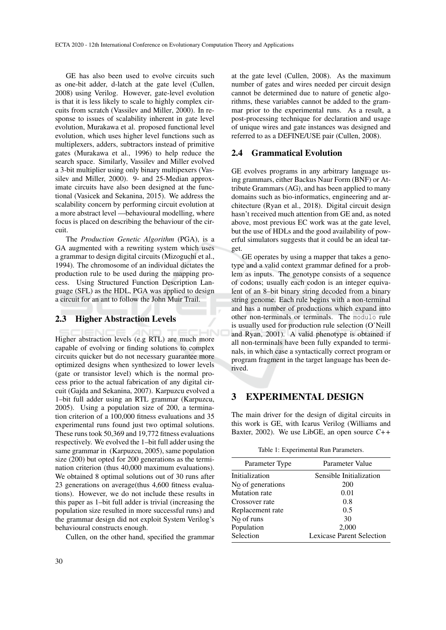GE has also been used to evolve circuits such as one-bit adder, d-latch at the gate level (Cullen, 2008) using Verilog. However, gate-level evolution is that it is less likely to scale to highly complex circuits from scratch (Vassilev and Miller, 2000). In response to issues of scalability inherent in gate level evolution, Murakawa et al. proposed functional level evolution, which uses higher level functions such as multiplexers, adders, subtractors instead of primitive gates (Murakawa et al., 1996) to help reduce the search space. Similarly, Vassilev and Miller evolved a 3-bit multiplier using only binary multipexers (Vassilev and Miller, 2000). 9- and 25-Median approximate circuits have also been designed at the functional (Vasicek and Sekanina, 2015). We address the scalability concern by performing circuit evolution at a more abstract level —behavioural modelling, where focus is placed on describing the behaviour of the circuit.

The *Production Genetic Algorithm* (PGA), is a GA augmented with a rewriting system which uses a grammar to design digital circuits (Mizoguchi et al., 1994). The chromosome of an individual dictates the production rule to be used during the mapping process. Using Structured Function Description Language (SFL) as the HDL, PGA was applied to design a circuit for an ant to follow the John Muir Trail.

## 2.3 Higher Abstraction Levels

Higher abstraction levels (e.g RTL) are much more capable of evolving or finding solutions to complex circuits quicker but do not necessary guarantee more optimized designs when synthesized to lower levels (gate or transistor level) which is the normal process prior to the actual fabrication of any digital circuit (Gajda and Sekanina, 2007). Karpuzcu evolved a 1–bit full adder using an RTL grammar (Karpuzcu, 2005). Using a population size of 200, a termination criterion of a 100,000 fitness evaluations and 35 experimental runs found just two optimal solutions. These runs took 50,369 and 19,772 fitness evaluations respectively. We evolved the 1–bit full adder using the same grammar in (Karpuzcu, 2005), same population size (200) but opted for 200 generations as the termination criterion (thus 40,000 maximum evaluations). We obtained 8 optimal solutions out of 30 runs after 23 generations on average(thus 4,600 fitness evaluations). However, we do not include these results in this paper as 1–bit full adder is trivial (increasing the population size resulted in more successful runs) and the grammar design did not exploit System Verilog's behavioural constructs enough.

Cullen, on the other hand, specified the grammar

at the gate level (Cullen, 2008). As the maximum number of gates and wires needed per circuit design cannot be determined due to nature of genetic algorithms, these variables cannot be added to the grammar prior to the experimental runs. As a result, a post-processing technique for declaration and usage of unique wires and gate instances was designed and referred to as a DEFINE/USE pair (Cullen, 2008).

#### 2.4 Grammatical Evolution

GE evolves programs in any arbitrary language using grammars, either Backus Naur Form (BNF) or Attribute Grammars (AG), and has been applied to many domains such as bio-informatics, engineering and architecture (Ryan et al., 2018). Digital circuit design hasn't received much attention from GE and, as noted above, most previous EC work was at the gate level, but the use of HDLs and the good availability of powerful simulators suggests that it could be an ideal target.

GE operates by using a mapper that takes a genotype and a valid context grammar defined for a problem as inputs. The genotype consists of a sequence of codons; usually each codon is an integer equivalent of an 8–bit binary string decoded from a binary string genome. Each rule begins with a non-terminal and has a number of productions which expand into other non-terminals or terminals. The modulo rule is usually used for production rule selection (O'Neill and Ryan, 2001). A valid phenotype is obtained if all non-terminals have been fully expanded to terminals, in which case a syntactically correct program or program fragment in the target language has been derived.

## 3 EXPERIMENTAL DESIGN

The main driver for the design of digital circuits in this work is GE, with Icarus Verilog (Williams and Baxter, 2002). We use LibGE, an open source *C++*

Table 1: Experimental Run Parameters.

| Parameter Type    | Parameter Value                  |
|-------------------|----------------------------------|
| Initialization    | Sensible Initialization          |
| No of generations | 200                              |
| Mutation rate     | 0.01                             |
| Crossover rate    | 0.8                              |
| Replacement rate  | 0.5                              |
| No of runs        | 30                               |
| Population        | 2,000                            |
| Selection         | <b>Lexicase Parent Selection</b> |
|                   |                                  |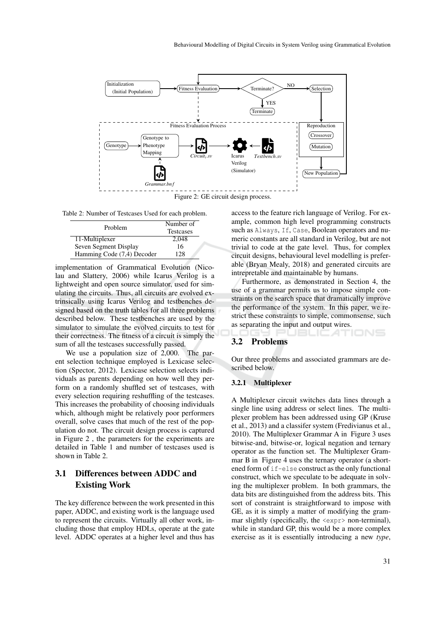

Figure 2: GE circuit design process.

Table 2: Number of Testcases Used for each problem.

| Problem                    | Number of<br><b>Testcases</b> |
|----------------------------|-------------------------------|
| 11-Multiplexer             | 2.048                         |
| Seven Segment Display      | 16                            |
| Hamming Code (7,4) Decoder | 128                           |

implementation of Grammatical Evolution (Nicolau and Slattery, 2006) while Icarus Verilog is a lightweight and open source simulator, used for simulating the circuits. Thus, all circuits are evolved extrinsically using Icarus Verilog and testbenches designed based on the truth tables for all three problems described below. These testbenches are used by the simulator to simulate the evolved circuits to test for their correctness. The fitness of a circuit is simply the sum of all the testcases successfully passed.

We use a population size of 2,000. The parent selection technique employed is Lexicase selection (Spector, 2012). Lexicase selection selects individuals as parents depending on how well they perform on a randomly shuffled set of testcases, with every selection requiring reshuffling of the testcases. This increases the probability of choosing individuals which, although might be relatively poor performers overall, solve cases that much of the rest of the population do not. The circuit design process is captured in Figure 2 , the parameters for the experiments are detailed in Table 1 and number of testcases used is shown in Table 2.

## 3.1 Differences between ADDC and Existing Work

The key difference between the work presented in this paper, ADDC, and existing work is the language used to represent the circuits. Virtually all other work, including those that employ HDLs, operate at the gate level. ADDC operates at a higher level and thus has

access to the feature rich language of Verilog. For example, common high level programming constructs such as Always, If, Case, Boolean operators and numeric constants are all standard in Verilog, but are not trivial to code at the gate level. Thus, for complex circuit designs, behavioural level modelling is preferable (Bryan Mealy, 2018) and generated circuits are intrepretable and maintainable by humans.

Furthermore, as demonstrated in Section 4, the use of a grammar permits us to impose simple constraints on the search space that dramatically improve the performance of the system. In this paper, we restrict these constraints to simple, commonsense, such as separating the input and output wires.

## 3.2 Problems

Our three problems and associated grammars are described below.

JBLICATIONS

#### 3.2.1 Multiplexer

A Multiplexer circuit switches data lines through a single line using address or select lines. The multiplexer problem has been addressed using GP (Kruse et al., 2013) and a classifer system (Fredivianus et al., 2010). The Multiplexer Grammar A in Figure 3 uses bitwise-and, bitwise-or, logical negation and ternary operator as the function set. The Multiplexer Grammar B in Figure 4 uses the ternary operator (a shortened form of if-else construct as the only functional construct, which we speculate to be adequate in solving the multiplexer problem. In both grammars, the data bits are distinguished from the address bits. This sort of constraint is straightforward to impose with GE, as it is simply a matter of modifying the grammar slightly (specifically, the  $\langle \exp r \rangle$  non-terminal), while in standard GP, this would be a more complex exercise as it is essentially introducing a new *type*,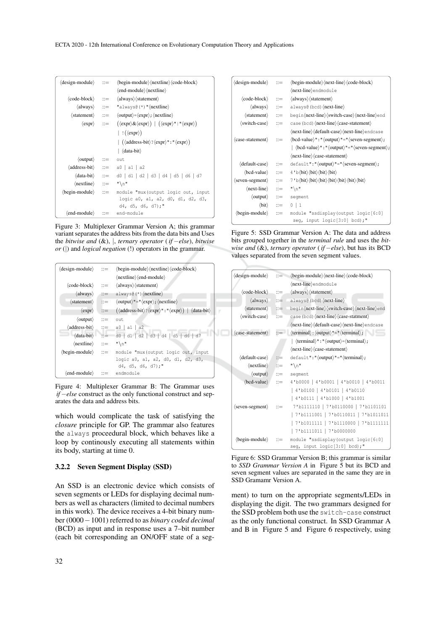| $\langle$ design-module $\rangle$ ::=           | $\langle$ begin-module $\rangle$ $\langle$ nextline $\rangle$ $\langle$ code-block $\rangle$<br>$\langle$ end-module $\rangle$ $\langle$ nextline $\rangle$ |  |
|-------------------------------------------------|-------------------------------------------------------------------------------------------------------------------------------------------------------------|--|
| $\langle \text{code-block} \rangle$ ::=         | $\langle$ always $\rangle$ $\langle$ statement $\rangle$                                                                                                    |  |
| $\langle$ always $\rangle$ :: $=$               | "always $\frac{\theta(x)}{\theta}$ " (nextline)                                                                                                             |  |
|                                                 | $\langle$ statement $\rangle$ ::= $\langle$ output $\rangle = \langle$ expr $\rangle$ ; $\langle$ nextline $\rangle$                                        |  |
|                                                 | $\langle \exp r \rangle$ ::= $(\langle \exp r \rangle \& \langle \exp r \rangle)   (\langle \exp r \rangle \cdot   \cdot   \cdot \langle \exp r \rangle)$   |  |
|                                                 | $ \cdot(\langle \text{expr} \rangle)$                                                                                                                       |  |
|                                                 | $\int (\langle address-bit \rangle? \langle expr \rangle" : "\langle expr \rangle)$                                                                         |  |
|                                                 | $\vert$ $\langle$ data-bit $\rangle$                                                                                                                        |  |
| $\langle$ output $\rangle$ ::= out              |                                                                                                                                                             |  |
|                                                 | $\langle \text{address-bit} \rangle$ ::= a0   a1   a2                                                                                                       |  |
|                                                 | $\langle data-bit \rangle$ ::= d0   d1   d2   d3   d4   d5   d6   d7                                                                                        |  |
| $\langle$ nextline $\rangle$ ::= " $\langle$ n" |                                                                                                                                                             |  |
| $\langle$ begin-module $\rangle$ ::=            | module "mux (output logic out, input                                                                                                                        |  |
|                                                 | logic a0, a1, a2, d0, d1, d2, d3,<br>d4, d5, d6, d7);"                                                                                                      |  |
| $\langle$ end-module $\rangle$ ::= end-module   |                                                                                                                                                             |  |

Figure 3: Multiplexer Grammar Version A; this grammar variant separates the address bits from the data bits and Uses the *bitwise and* (&), |, *ternary operator* ( *if* −*else*), *bitwise or* (|) and *logical negation* (!) operators in the grammar.

| $\langle$ design-module $\rangle$   | $\mathbf{m}$               | $\langle$ begin-module $\rangle$ $\langle$ nextline $\rangle$ $\langle$ code-block $\rangle$              |  |
|-------------------------------------|----------------------------|-----------------------------------------------------------------------------------------------------------|--|
|                                     |                            | $\langle$ nextline $\rangle$ $\langle$ end-module $\rangle$                                               |  |
| $\langle \text{code-block} \rangle$ | $\therefore$               | $\langle$ always $\rangle$ $\langle$ statement $\rangle$                                                  |  |
| $\langle$ always $\rangle$          | $\mathbf{m}$               | always $\frac{\theta(\star)}{\text{nextline}}$                                                            |  |
| $\langle$ statement $\rangle$       | $\mathbf{H} =$             | $\langle$ output $\rangle$ "=" $\langle$ expr $\rangle$ ; $\langle$ nextline $\rangle$                    |  |
| $\langle$ expr $\rangle$            | $::=$                      | $(\langle address-bit \rangle? \langle expr \rangle" : "\langle expr \rangle)   \langle data-bit \rangle$ |  |
| $\langle$ output $\rangle$          | $\mathbf{m}$               | out                                                                                                       |  |
| $\langle$ address-bit $\rangle$     | $\mathbf{r} = \mathbf{r}$  | $a0 \mid a1 \mid a2$                                                                                      |  |
| $\langle data-bit \rangle$          | $\mathbf{u} = -$           | $d0$   d1   d2   d3   d4   d5   d6   d7                                                                   |  |
| $\langle$ nextline $\rangle$        | $\mathbf{m}$               | $" \n\wedge n"$                                                                                           |  |
| $\langle$ begin-module $\rangle$    | $\mathbf{r} := \mathbf{r}$ | module "mux (output logic out, input                                                                      |  |
|                                     |                            | logic a0, a1, a2, d0, d1, d2, d3,                                                                         |  |
|                                     |                            | $d4, d5, d6, d7$ ;"                                                                                       |  |
| (end-module)                        | $\mathbb{R}^2$             | endmodule                                                                                                 |  |

Figure 4: Multiplexer Grammar B: The Grammar uses *if* −*else* construct as the only functional construct and separates the data and address bits.

which would complicate the task of satisfying the *closure* principle for GP. The grammar also features the always proceedural block, which behaves like a loop by continously executing all statements within its body, starting at time 0.

#### 3.2.2 Seven Segment Display (SSD)

An SSD is an electronic device which consists of seven segments or LEDs for displaying decimal numbers as well as characters (limited to decimal numbers in this work). The device receives a 4-bit binary number (0000−1001) referred to as *binary coded decimal* (BCD) as input and in response uses a 7–bit number (each bit corresponding an ON/OFF state of a seg-

| $\langle$ design-module $\rangle$   | $\mathbb{R}^2$            | $\langle$ begin-module $\rangle$ $\langle$ next-line $\rangle$ $\langle$ code-block $\rangle$                                                     |  |
|-------------------------------------|---------------------------|---------------------------------------------------------------------------------------------------------------------------------------------------|--|
|                                     |                           | $\langle$ next-line $\rangle$ endmodule                                                                                                           |  |
| $\langle \text{code-block} \rangle$ | $\mathbf{r} =$            | $\langle$ always $\rangle$ $\langle$ statement $\rangle$                                                                                          |  |
| $\langle$ always $\rangle$          | $\mathbf{m}$              | always@(bcd) $\langle$ next-line $\rangle$                                                                                                        |  |
| $\langle statement \rangle$         | $\mathbf{m}$              | begin(next-line)(switch-case)(next-line)end                                                                                                       |  |
| $\langle$ switch-case $\rangle$     | $\mathbb{R}^2$            | case (bcd) (next-line) (case-statement)                                                                                                           |  |
|                                     |                           | (next-line)(default-case)(next-line)endcase                                                                                                       |  |
| $\langle$ case-statement $\rangle$  | $\mathbb{R}^2$            | $\langle$ bcd-value $\rangle$ ": " $\langle$ output $\rangle$ "=" $\langle$ seven-segment $\rangle$ ;                                             |  |
|                                     |                           | $\langle$ bcd-value $\rangle$ ":" $\langle$ output $\rangle$ "=" $\langle$ seven-segment $\rangle$ ;                                              |  |
|                                     |                           | $\langle$ next-line $\rangle$ $\langle$ case-statement $\rangle$                                                                                  |  |
| $\langle$ default-case $\rangle$    | $\mathrel{\mathop:}=$     | $default": "\langle output \rangle" = "\langle seven-segment \rangle;$                                                                            |  |
| $\langle$ bcd-value $\rangle$       | $\mathbb{R}^{\mathbb{Z}}$ | $4'$ b $\langle \text{bit} \rangle \langle \text{bit} \rangle \langle \text{bit} \rangle \langle \text{bit} \rangle$                              |  |
| $\langle$ seven-segment $\rangle$   | $\mathbf{m}$              | $7 b \langle bit \rangle \langle bit \rangle \langle bit \rangle \langle bit \rangle \langle bit \rangle \langle bit \rangle \langle bit \rangle$ |  |
| $\langle$ next-line $\rangle$       | $\mathbf{m}$              | $^{\prime\prime}$ \n $^{\prime\prime}$                                                                                                            |  |
| $\langle$ output $\rangle$          | $\mathrel{\mathop:}=$     | segment                                                                                                                                           |  |
| $\langle \text{bit} \rangle$        | $\mathbb{R}^n$            | $0 \mid 1$                                                                                                                                        |  |
| $\langle$ begin-module $\rangle$    | $\mathrel{\mathop:}=$     | module "ssdisplay (output logic[6:0]                                                                                                              |  |
|                                     |                           | seq, input logic $[3:0]$ bcd);"                                                                                                                   |  |

Figure 5: SSD Grammar Version A: The data and address bits grouped together in the *terminal rule* and uses the *bitwise and* (&), *ternary operator* ( *if* −*else*), but has its BCD values separated from the seven segment values.

| $\langle$ design-module $\rangle$   | $\mathbf{m}$   | $\langle$ begin-module $\rangle$ $\langle$ next-line $\rangle$ $\langle$ code-block $\rangle$ |  |
|-------------------------------------|----------------|-----------------------------------------------------------------------------------------------|--|
|                                     |                | (next-line)endmodule                                                                          |  |
| $\langle \text{code-block} \rangle$ | $\therefore$   | $\langle$ always $\rangle$ $\langle$ statement $\rangle$                                      |  |
| $\langle$ always $\rangle$ ::=      |                | always@(bcd) (next-line)                                                                      |  |
| $\langle$ statement $\rangle$ :=    |                | begin(next-line)(switch-case)(next-line)end                                                   |  |
| $\langle$ switch-case $\rangle$     | $\mathbb{R}^m$ | case (bcd) (next-line) (case-statment)                                                        |  |
|                                     |                | $\langle next-line \rangle \langle default-case \rangle \langle next-line \rangle$ endcase    |  |
| (case-statement)                    | $:=$           | $\langle$ terminal $\rangle$ : $\langle$ output $\rangle$ "=" $\langle$ terminal $\rangle$ ;  |  |
|                                     |                | $\vert \langle$ (terminal) ": " $\langle$ output $\rangle = \langle$ terminal $\rangle$ ;     |  |
|                                     |                | (next-line) (case-statement)                                                                  |  |
| $\langle$ default-case $\rangle$    | $::=$          | $\text{default}$ ": " $\langle$ output $\rangle$ "=" $\langle$ terminal $\rangle$ ;           |  |
| $\langle$ nextline $\rangle$        | $\mathbf{r} =$ | $" \n\wedge n"$                                                                               |  |
| $\langle$ output $\rangle$          | $\mathbf{u} =$ | seqment                                                                                       |  |
| $\langle$ bcd-value $\rangle$       | $\mathbb{R}^2$ | 4'b0000   4'b0001   4'b0010   4'b0011                                                         |  |
|                                     |                | 4'b0100   4'b0101   4'b0110                                                                   |  |
|                                     |                | 4'b0111   4'b1000   4'b1001                                                                   |  |
| $\langle$ seven-segment $\rangle$   | $\mathbb{R}^2$ | 7'b1111110   7'b0110000   7'b1101101                                                          |  |
|                                     |                | 7'b1111001   7'b0110011   7'b1011011                                                          |  |
|                                     |                | 7'b1011111   7'b1110000   7'b1111111                                                          |  |
|                                     |                | 7'b1111011   7'b0000000                                                                       |  |
| $\langle$ begin-module $\rangle$    | $\cdots$       | module "ssdisplay (output logic[6:0]                                                          |  |
|                                     |                | seg, input logic[3:0] bcd);"                                                                  |  |

Figure 6: SSD Grammar Version B; this grammar is similar to *SSD Grammar Version A* in Figure 5 but its BCD and seven segment values are separated in the same they are in SSD Gramamr Version A.

ment) to turn on the appropriate segments/LEDs in displaying the digit. The two grammars designed for the SSD problem both use the switch-case construct as the only functional construct. In SSD Grammar A and B in Figure 5 and Figure 6 respectively, using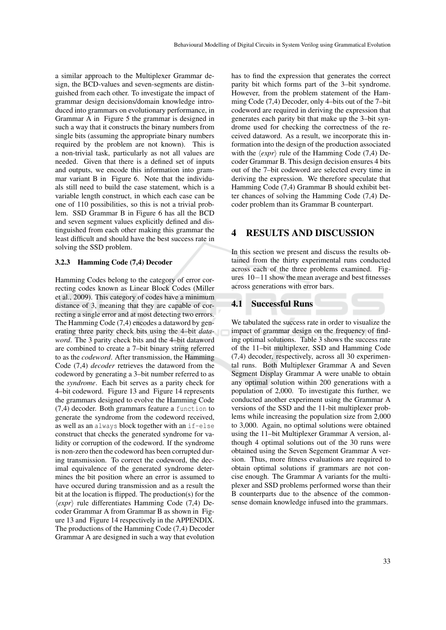a similar approach to the Multiplexer Grammar design, the BCD-values and seven-segments are distinguished from each other. To investigate the impact of grammar design decisions/domain knowledge introduced into grammars on evolutionary performance, in Grammar A in Figure 5 the grammar is designed in such a way that it constructs the binary numbers from single bits (assuming the appropriate binary numbers required by the problem are not known). This is a non-trivial task, particularly as not all values are needed. Given that there is a defined set of inputs and outputs, we encode this information into grammar variant B in Figure 6. Note that the individuals still need to build the case statement, which is a variable length construct, in which each case can be one of 110 possibilities, so this is not a trivial problem. SSD Grammar B in Figure 6 has all the BCD and seven segment values explicitly defined and distinguished from each other making this grammar the least difficult and should have the best success rate in solving the SSD problem.

#### 3.2.3 Hamming Code (7,4) Decoder

Hamming Codes belong to the category of error correcting codes known as Linear Block Codes (Miller et al., 2009). This category of codes have a minimum distance of 3, meaning that they are capable of correcting a single error and at most detecting two errors. The Hamming Code (7,4) encodes a dataword by generating three parity check bits using the 4–bit *dataword*. The 3 parity check bits and the 4–bit dataword are combined to create a 7–bit binary string referred to as the *codeword*. After transmission, the Hamming Code (7,4) *decoder* retrieves the dataword from the codeword by generating a 3–bit number referred to as the *syndrome*. Each bit serves as a parity check for 4–bit codeword. Figure 13 and Figure 14 represents the grammars designed to evolve the Hamming Code (7,4) decoder. Both grammars feature a function to generate the syndrome from the codeword received, as well as an always block together with an if-else construct that checks the generated syndrome for validity or corruption of the codeword. If the syndrome is non-zero then the codeword has been corrupted during transmission. To correct the codeword, the decimal equivalence of the generated syndrome determines the bit position where an error is assumed to have occured during transmission and as a result the bit at the location is flipped. The production(s) for the  $\langle expr \rangle$  rule differentiates Hamming Code (7,4) Decoder Grammar A from Grammar B as shown in Figure 13 and Figure 14 respectively in the APPENDIX. The productions of the Hamming Code (7,4) Decoder Grammar A are designed in such a way that evolution

has to find the expression that generates the correct parity bit which forms part of the 3–bit syndrome. However, from the problem statement of the Hamming Code (7,4) Decoder, only 4–bits out of the 7–bit codeword are required in deriving the expression that generates each parity bit that make up the 3–bit syndrome used for checking the correctness of the received dataword. As a result, we incorporate this information into the design of the production associated with the  $\langle expr \rangle$  rule of the Hamming Code (7,4) Decoder Grammar B. This design decision ensures 4 bits out of the 7–bit codeword are selected every time in deriving the expression. We therefore speculate that Hamming Code (7,4) Grammar B should exhibit better chances of solving the Hamming Code (7,4) Decoder problem than its Grammar B counterpart.

## 4 RESULTS AND DISCUSSION

In this section we present and discuss the results obtained from the thirty experimental runs conducted across each of the three problems examined. Figures 10−11 show the mean average and best fitnesses across generations with error bars.

#### 4.1 Successful Runs

We tabulated the success rate in order to visualize the impact of grammar design on the frequency of finding optimal solutions. Table 3 shows the success rate of the 11–bit multiplexer, SSD and Hamming Code (7,4) decoder, respectively, across all 30 experimental runs. Both Multiplexer Grammar A and Seven Segment Display Grammar A were unable to obtain any optimal solution within 200 generations with a population of 2,000. To investigate this further, we conducted another experiment using the Grammar A versions of the SSD and the 11-bit multiplexer problems while increasing the population size from 2,000 to 3,000. Again, no optimal solutions were obtained using the 11–bit Multiplexer Grammar A version, although 4 optimal solutions out of the 30 runs were obtained using the Seven Segement Grammar A version. Thus, more fitness evaluations are required to obtain optimal solutions if grammars are not concise enough. The Grammar A variants for the multiplexer and SSD problems performed worse than their B counterparts due to the absence of the commonsense domain knowledge infused into the grammars.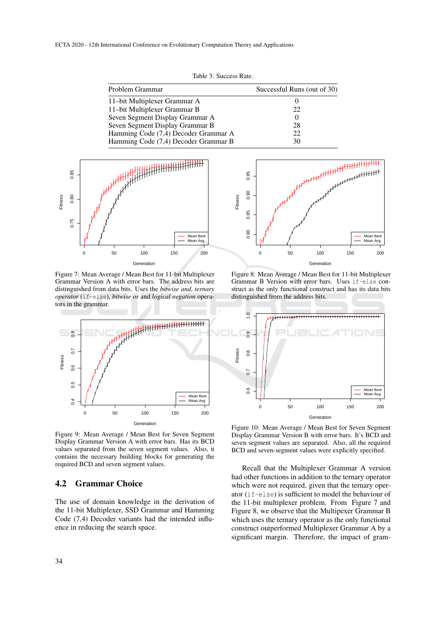Table 3: Success Rate.

| Problem Grammar                      | Successful Runs (out of 30) |
|--------------------------------------|-----------------------------|
| 11-bit Multiplexer Grammar A         |                             |
| 11-bit Multiplexer Grammar B         | 22                          |
| Seven Segment Display Grammar A      |                             |
| Seven Segment Display Grammar B      | 28                          |
| Hamming Code (7,4) Decoder Grammar A | 22.                         |
| Hamming Code (7,4) Decoder Grammar B | 30                          |



Figure 7: Mean Average / Mean Best for 11-bit Multiplexer Grammar Version A with error bars. The address bits are distinguished from data bits. Uses the *bitwise and*, *ternary operator* (if-else), *bitwise or* and *logical negation* operators in the grammar.



Figure 9: Mean Average / Mean Best for Seven Segment Display Grammar Version A with error bars. Has its BCD values separated from the seven segment values. Also, it contains the necessary building blocks for generating the required BCD and seven segment values.

## 4.2 Grammar Choice

The use of domain knowledge in the derivation of the 11-bit Multiplexer, SSD Grammar and Hamming Code (7,4) Decoder variants had the intended influence in reducing the search space.



Figure 8: Mean Average / Mean Best for 11-bit Multiplexer Grammar B Version with error bars. Uses if-else construct as the only functional construct and has its data bits distinguished from the address bits.



Figure 10: Mean Average / Mean Best for Seven Segment Display Grammar Version B with error bars. It's BCD and seven segment values are separated. Also, all the required BCD and seven-segment values were explicitly specified.

Recall that the Multiplexer Grammar A version had other functions in addition to the ternary operator which were not required, given that the ternary operator (if-else) is sufficient to model the behaviour of the 11-bit multiplexer problem. From Figure 7 and Figure 8, we observe that the Multipexer Grammar B which uses the ternary operator as the only functional construct outperformed Multiplexer Grammar A by a significant margin. Therefore, the impact of gram-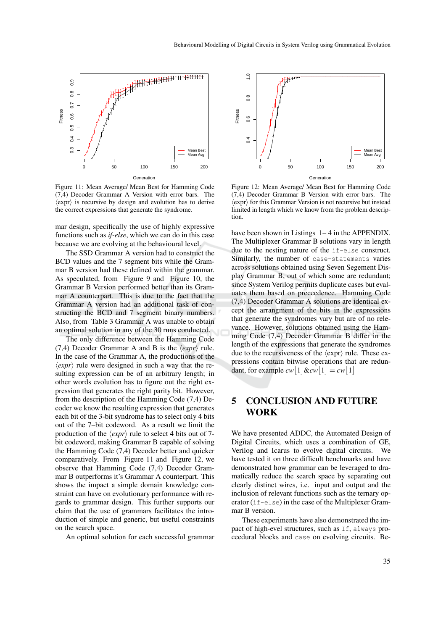

Figure 11: Mean Average/ Mean Best for Hamming Code (7,4) Decoder Grammar A Version with error bars. The  $\langle \text{expr} \rangle$  is recursive by design and evolution has to derive the correct expressions that generate the syndrome.

mar design, specifically the use of highly expressive functions such as *if-else*, which we can do in this case because we are evolving at the behavioural level.

The SSD Grammar A version had to construct the BCD values and the 7 segment bits while the Grammar B version had these defined within the grammar. As speculated, from Figure 9 and Figure 10, the Grammar B Version performed better than its Grammar A counterpart. This is due to the fact that the Grammar A version had an additional task of constructing the BCD and 7 segment binary numbers. Also, from Table 3 Grammar A was unable to obtain an optimal solution in any of the 30 runs conducted.

The only difference between the Hamming Code (7,4) Decoder Grammar A and B is the  $\langle expr \rangle$  rule. In the case of the Grammar A, the productions of the  $\langle expr \rangle$  rule were designed in such a way that the resulting expression can be of an arbitrary length; in other words evolution has to figure out the right expression that generates the right parity bit. However, from the description of the Hamming Code (7,4) Decoder we know the resulting expression that generates each bit of the 3-bit syndrome has to select only 4 bits out of the 7–bit codeword. As a result we limit the production of the  $\langle expr \rangle$  rule to select 4 bits out of 7bit codeword, making Grammar B capable of solving the Hamming Code (7,4) Decoder better and quicker comparatively. From Figure 11 and Figure 12, we observe that Hamming Code (7,4) Decoder Grammar B outperforms it's Grammar A counterpart. This shows the impact a simple domain knowledge constraint can have on evolutionary performance with regards to grammar design. This further supports our claim that the use of grammars facilitates the introduction of simple and generic, but useful constraints on the search space.

An optimal solution for each successful grammar



Figure 12: Mean Average/ Mean Best for Hamming Code (7,4) Decoder Grammar B Version with error bars. The  $\langle$ expr $\rangle$  for this Grammar Version is not recursive but instead limited in length which we know from the problem description.

have been shown in Listings  $1-4$  in the APPENDIX. The Multiplexer Grammar B solutions vary in length due to the nesting nature of the if-else construct. Similarly, the number of case-statements varies across solutions obtained using Seven Segement Display Grammar B, out of which some are redundant; since System Verilog permits duplicate cases but evaluates them based on preceedence. Hamming Code (7,4) Decoder Grammar A solutions are identical except the arrangment of the bits in the expressions that generate the syndromes vary but are of no relevance. However, solutions obtained using the Hamming Code (7,4) Decoder Grammar B differ in the length of the expressions that generate the syndromes due to the recursiveness of the  $\langle \exp r \rangle$  rule. These expressions contain bitwise operations that are redundant, for example  $cw[1]\&cw[1] = cw[1]$ 

## 5 CONCLUSION AND FUTURE WORK

We have presented ADDC, the Automated Design of Digital Circuits, which uses a combination of GE, Verilog and Icarus to evolve digital circuits. We have tested it on three difficult benchmarks and have demonstrated how grammar can be leveraged to dramatically reduce the search space by separating out clearly distinct wires, i.e. input and output and the inclusion of relevant functions such as the ternary operator (if-else) in the case of the Multiplexer Grammar B version.

These experiments have also demonstrated the impact of high-evel structures, such as If, always proceedural blocks and case on evolving circuits. Be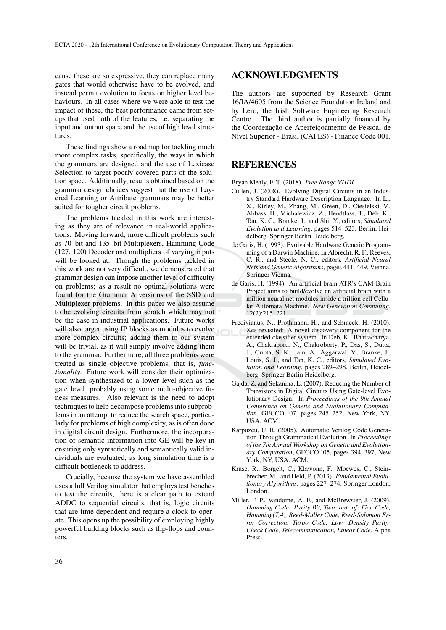cause these are so expressive, they can replace many gates that would otherwise have to be evolved, and instead permit evolution to focus on higher level behaviours. In all cases where we were able to test the impact of these, the best performance came from setups that used both of the features, i.e. separating the input and output space and the use of high level structures.

These findings show a roadmap for tackling much more complex tasks, specifically, the ways in which the grammars are designed and the use of Lexicase Selection to target poorly covered parts of the solution space. Additionally, results obtained based on the grammar design choices suggest that the use of Layered Learning or Attribute grammars may be better suited for tougher circuit problems.

The problems tackled in this work are interesting as they are of relevance in real-world applications. Moving forward, more difficult problems such as 70–bit and 135–bit Multiplexers, Hamming Code (127, 120) Decoder and multipliers of varying inputs will be looked at. Though the problems tackled in this work are not very difficult, we demonstrated that grammar design can impose another level of difficulty on problems; as a result no optimal solutions were found for the Grammar A versions of the SSD and Multiplexer problems. In this paper we also assume to be evolving circuits from scratch which may not be the case in industrial applications. Future works will also target using IP blocks as modules to evolve more complex circuits; adding them to our system will be trivial, as it will simply involve adding them to the grammar. Furthermore, all three problems were treated as single objective problems, that is, *functionality*. Future work will consider their optimization when synthesized to a lower level such as the gate level, probably using some multi-objective fitness measures. Also relevant is the need to adopt techniques to help decompose problems into subproblems in an attempt to reduce the search space, particularly for problems of high complexity, as is often done in digital circuit design. Furthermore, the incorporation of semantic information into GE will be key in ensuring only syntactically and semantically valid individuals are evaluated, as long simulation time is a difficult bottleneck to address.

Crucially, because the system we have assembled uses a full Verilog simulator that employs test benches to test the circuits, there is a clear path to extend ADDC to sequential circuits, that is, logic circuits that are time dependent and require a clock to operate. This opens up the possibility of employing highly powerful building blocks such as flip-flops and counters.

## ACKNOWLEDGMENTS

The authors are supported by Research Grant 16/IA/4605 from the Science Foundation Ireland and by Lero, the Irish Software Engineering Research Centre. The third author is partially financed by the Coordenação de Aperfeicoamento de Pessoal de Nível Superior - Brasil (CAPES) - Finance Code 001.

## REFERENCES

Bryan Mealy, F. T. (2018). *Free Range VHDL*.

- Cullen, J. (2008). Evolving Digital Circuits in an Industry Standard Hardware Description Language. In Li, X., Kirley, M., Zhang, M., Green, D., Ciesielski, V., Abbass, H., Michalewicz, Z., Hendtlass, T., Deb, K., Tan, K. C., Branke, J., and Shi, Y., editors, *Simulated Evolution and Learning*, pages 514–523, Berlin, Heidelberg. Springer Berlin Heidelberg.
- de Garis, H. (1993). Evolvable Hardware Genetic Programming of a Darwin Machine. In Albrecht, R. F., Reeves, C. R., and Steele, N. C., editors, *Artificial Neural Nets and Genetic Algorithms*, pages 441–449, Vienna. Springer Vienna.
- de Garis, H. (1994). An artificial brain ATR's CAM-Brain Project aims to build/evolve an artificial brain with a million neural net modules inside a trillion cell Cellular Automata Machine. *New Generation Computing*, 12(2):215–221.
- Fredivianus, N., Prothmann, H., and Schmeck, H. (2010). Xcs revisited: A novel discovery component for the extended classifier system. In Deb, K., Bhattacharya, A., Chakraborti, N., Chakroborty, P., Das, S., Dutta, J., Gupta, S. K., Jain, A., Aggarwal, V., Branke, J., Louis, S. J., and Tan, K. C., editors, *Simulated Evolution and Learning*, pages 289–298, Berlin, Heidelberg. Springer Berlin Heidelberg.
- Gajda, Z. and Sekanina, L. (2007). Reducing the Number of Transistors in Digital Circuits Using Gate-level Evolutionary Design. In *Proceedings of the 9th Annual Conference on Genetic and Evolutionary Computation*, GECCO '07, pages 245–252, New York, NY, USA. ACM.
- Karpuzcu, U. R. (2005). Automatic Verilog Code Generation Through Grammatical Evolution. In *Proceedings of the 7th Annual Workshop on Genetic and Evolutionary Computation*, GECCO '05, pages 394–397, New York, NY, USA. ACM.
- Kruse, R., Borgelt, C., Klawonn, F., Moewes, C., Steinbrecher, M., and Held, P. (2013). *Fundamental Evolutionary Algorithms*, pages 227–274. Springer London, London.
- Miller, F. P., Vandome, A. F., and McBrewster, J. (2009). *Hamming Code: Parity Bit, Two- out- of- Five Code, Hamming(7,4), Reed-Muller Code, Reed-Solomon Error Correction, Turbo Code, Low- Density Parity-Check Code, Telecommunication, Linear Code*. Alpha Press.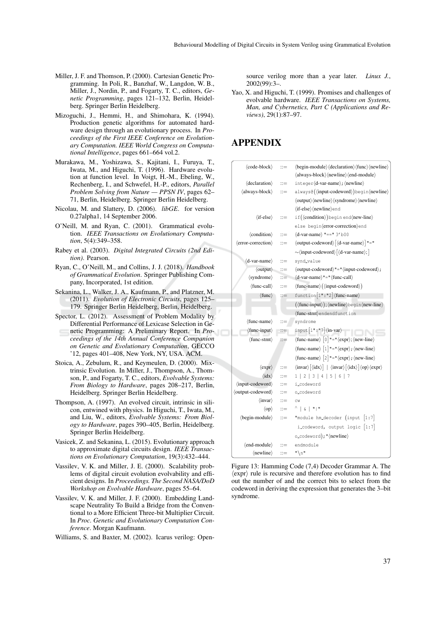- Miller, J. F. and Thomson, P. (2000). Cartesian Genetic Programming. In Poli, R., Banzhaf, W., Langdon, W. B., Miller, J., Nordin, P., and Fogarty, T. C., editors, *Genetic Programming*, pages 121–132, Berlin, Heidelberg. Springer Berlin Heidelberg.
- Mizoguchi, J., Hemmi, H., and Shimohara, K. (1994). Production genetic algorithms for automated hardware design through an evolutionary process. In *Proceedings of the First IEEE Conference on Evolutionary Computation. IEEE World Congress on Computational Intelligence*, pages 661–664 vol.2.
- Murakawa, M., Yoshizawa, S., Kajitani, I., Furuya, T., Iwata, M., and Higuchi, T. (1996). Hardware evolution at function level. In Voigt, H.-M., Ebeling, W., Rechenberg, I., and Schwefel, H.-P., editors, *Parallel Problem Solving from Nature — PPSN IV*, pages 62– 71, Berlin, Heidelberg. Springer Berlin Heidelberg.
- Nicolau, M. and Slattery, D. (2006). *libGE*. for version 0.27alpha1, 14 September 2006.
- O'Neill, M. and Ryan, C. (2001). Grammatical evolution. *IEEE Transactions on Evolutionary Computation*, 5(4):349–358.
- Rabey et al. (2003). *Digital Integrated Circuits (2nd Edition)*. Pearson.
- Ryan, C., O'Neill, M., and Collins, J. J. (2018). *Handbook of Grammatical Evolution*. Springer Publishing Company, Incorporated, 1st edition.
- Sekanina, L., Walker, J. A., Kaufmann, P., and Platzner, M. (2011). *Evolution of Electronic Circuits*, pages 125– 179. Springer Berlin Heidelberg, Berlin, Heidelberg.
- Spector, L. (2012). Assessment of Problem Modality by Differential Performance of Lexicase Selection in Genetic Programming: A Preliminary Report. In *Proceedings of the 14th Annual Conference Companion on Genetic and Evolutionary Computation*, GECCO '12, pages 401–408, New York, NY, USA. ACM.
- Stoica, A., Zebulum, R., and Keymeulen, D. (2000). Mixtrinsic Evolution. In Miller, J., Thompson, A., Thomson, P., and Fogarty, T. C., editors, *Evolvable Systems: From Biology to Hardware*, pages 208–217, Berlin, Heidelberg. Springer Berlin Heidelberg.
- Thompson, A. (1997). An evolved circuit, intrinsic in silicon, entwined with physics. In Higuchi, T., Iwata, M., and Liu, W., editors, *Evolvable Systems: From Biology to Hardware*, pages 390–405, Berlin, Heidelberg. Springer Berlin Heidelberg.
- Vasicek, Z. and Sekanina, L. (2015). Evolutionary approach to approximate digital circuits design. *IEEE Transactions on Evolutionary Computation*, 19(3):432–444.
- Vassilev, V. K. and Miller, J. E. (2000). Scalability problems of digital circuit evolution evolvability and efficient designs. In *Proceedings. The Second NASA/DoD Workshop on Evolvable Hardware*, pages 55–64.
- Vassilev, V. K. and Miller, J. F. (2000). Embedding Landscape Neutrality To Build a Bridge from the Conventional to a More Efficient Three-bit Multiplier Circuit. In *Proc. Genetic and Evolutionary Computation Conference*. Morgan Kaufmann.
- Williams, S. and Baxter, M. (2002). Icarus verilog: Open-

source verilog more than a year later. *Linux J.*,  $2002(99):3$ 

Yao, X. and Higuchi, T. (1999). Promises and challenges of evolvable hardware. *IEEE Transactions on Systems, Man, and Cybernetics, Part C (Applications and Reviews)*, 29(1):87–97.

# APPENDIX

| $\langle \text{code-block} \rangle$ |                       | $\langle begin-module \rangle \langle declaration \rangle \langle func \rangle \langle newline \rangle$                                                       |  |
|-------------------------------------|-----------------------|---------------------------------------------------------------------------------------------------------------------------------------------------------------|--|
|                                     | $::=$                 |                                                                                                                                                               |  |
|                                     |                       | \always-block\ \ newline \ \ \ end-module \                                                                                                                   |  |
| (declaration)                       | $\dddot{=}$           | integer(d-var-name); (newline)                                                                                                                                |  |
| $\langle$ always-block $\rangle$    | $\mathrel{\mathop:}=$ | always@((input-codeword))begin(newline)                                                                                                                       |  |
|                                     |                       | \/output\/newline\/syndrome\/newline\                                                                                                                         |  |
|                                     |                       | (if-else) (newline) end                                                                                                                                       |  |
| $\langle$ if-else $\rangle$         | $\dddot{=}$           | if((condition)) begin end(new-line)                                                                                                                           |  |
|                                     |                       | else begin(error-correction)end                                                                                                                               |  |
| $\langle$ condition $\rangle$       | $\mathrel{\mathop:}=$ | $\langle$ d-var-name $\rangle$ "==" 3'b00                                                                                                                     |  |
| (error-correction)                  | $\mathrel{\mathop:}=$ | $\langle output-codeword \rangle [\langle d-var-name \rangle]$ "="                                                                                            |  |
|                                     |                       | $\sim$ (input-codeword) $\vert$ (d-var-name); $\vert$                                                                                                         |  |
| (d-var-name)                        | $\mathrel{\mathop:}=$ | synd_value                                                                                                                                                    |  |
| $\langle$ output $\rangle$          | $::=$                 | $\langle$ output-codeword $\rangle$ " = " $\langle$ input-codeword $\rangle$ ;                                                                                |  |
| $\langle$ syndrome $\rangle$        | ∷≡                    | $\langle$ d-var-name $\rangle$ "=" $\langle$ func-call $\rangle$                                                                                              |  |
| $\langle$ func-call $\rangle$       | $::=$                 | $\langle$ func-name $\rangle$ $(\langle$ input-codeword $\rangle$ )                                                                                           |  |
| $\langle$ func $\rangle$            | $:=$                  | function $[1" : "2]$ (func-name)                                                                                                                              |  |
|                                     |                       | $(\langle \text{func-input} \rangle)$ ; $\langle \text{newline} \rangle$ begin $\langle \text{new-line} \rangle$                                              |  |
|                                     |                       | (func-stmt)endendfunction                                                                                                                                     |  |
| $\langle$ func-name $\rangle$       | $\mathrel{\mathop:}=$ | syndrome                                                                                                                                                      |  |
| $\langle$ func-input $\rangle$      | $::=$                 | $input[1" : "7] \langle in-var \rangle$                                                                                                                       |  |
| $\langle$ func-stmt $\rangle$       | $::=$                 | $\langle$ func-name $\rangle$ [0] "=" $\langle$ expr $\rangle$ ; $\langle$ new-line $\rangle$                                                                 |  |
|                                     |                       | $\langle$ func-name $\rangle$ [1] "=" $\langle$ expr $\rangle$ ; $\langle$ new-line $\rangle$                                                                 |  |
|                                     |                       | $\langle$ func-name $\rangle$ [2] "=" $\langle$ expr $\rangle$ ; $\langle$ new-line $\rangle$                                                                 |  |
| $\langle$ expr $\rangle$            | $::=$                 | $\langle$ invar $\rangle$ [ $\langle$ idx $\rangle$ ]   $\langle$ invar $\rangle$ [ $\langle$ idx $\rangle$ ] $\langle$ op $\rangle$ $\langle$ expr $\rangle$ |  |
| $\langle \text{idx} \rangle$        | $\equiv$              | 1   2   3   4   5   6   7                                                                                                                                     |  |
| (input-codeword)                    | $::=$                 | i_codeword                                                                                                                                                    |  |
| (output-codeword)                   | $\mathrel{\mathop:}=$ | o_codeword                                                                                                                                                    |  |
| $\langle$ invar $\rangle$           | $::=$                 | CW                                                                                                                                                            |  |
| $\langle$ op $\rangle$              |                       |                                                                                                                                                               |  |
|                                     | $\mathbf{r} =$        | $\wedge$ $\mid$ $\&$ $\mid$ " $\mid$ "                                                                                                                        |  |
| (begin-module)                      | $\mathrel{\mathop:}=$ | "module hm_decoder (input [1:7]                                                                                                                               |  |
|                                     |                       | i_codeword, output logic $[1:7]$                                                                                                                              |  |
|                                     |                       | o_codeword); " (newline)                                                                                                                                      |  |
| $\langle$ end-module $\rangle$      | $::=$                 | endmodule                                                                                                                                                     |  |

Figure 13: Hamming Code (7,4) Decoder Grammar A. The  $\langle \text{expr} \rangle$  rule is recursive and therefore evolution has to find out the number of and the correct bits to select from the codeword in deriving the expression that generates the 3–bit syndrome.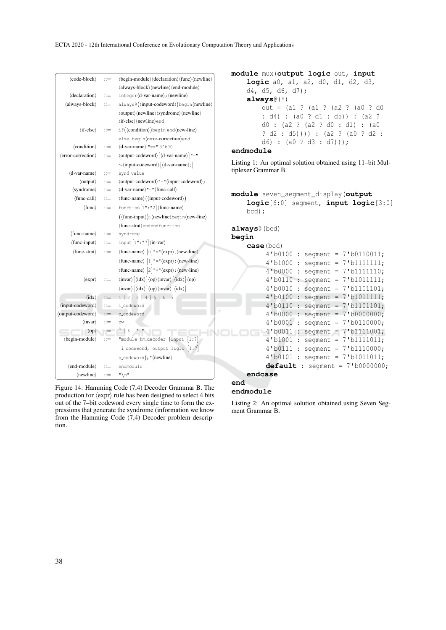| $\langle \text{code-block} \rangle$<br>$\langle$ declaration $\rangle$<br>(always-block)<br>$\langle$ if-else $\rangle$<br>$\langle$ condition $\rangle$<br>(error-correction) | $::=$<br>$\mathbb{R}^2 =$<br>$::=$<br>$::=$<br>$\mathbb{R}^2 =$<br>$::=$ | $\langle begin-module \rangle \langle declaration \rangle \langle func \rangle \langle newline \rangle$<br>\always-block\ \(newline) \ \ \end-module \)<br>integer(d-var-name); (newline)<br>always@((input-codeword))begin(newline)<br>$\langle$ output $\rangle$ $\langle$ newline $\rangle$ $\langle$ syndrome $\rangle$ $\langle$ newline $\rangle$<br>(if-else) (newline) end<br>if((condition)) begin end(new-line)<br>else begin(error-correction)end<br>$\langle$ d-var-name $\rangle$ "==" 3'b00<br>$\langle$ output-codeword $\rangle$ $\langle$ d-var-name $\rangle$ ] "="<br>$\sim$ (input-codeword) $\vert$ (d-var-name); $\vert$ | module mux (output logic out, input<br>logic a0, a1, a2, d0, d1, d2, d3,<br>d4, d5, d6, d7);<br>$always($ (*)<br>out = $(a1 ? (a1 ? (a2 ? (a0 ? d0$<br>: d4) : (a0 ? d1 : d5)) : (a2 ?<br>$d0$ : (a2 ? (a2 ? d0 : d1) : (a0<br>$? d2 : d5))$ ) ) : (a2 ? (a0 ? d2 :<br>d6) : $(a0 ? d3 : d7))$ ;<br>endmodule<br>Listing 1: An optimal solution obtained using 11-bit Mul- |
|--------------------------------------------------------------------------------------------------------------------------------------------------------------------------------|--------------------------------------------------------------------------|------------------------------------------------------------------------------------------------------------------------------------------------------------------------------------------------------------------------------------------------------------------------------------------------------------------------------------------------------------------------------------------------------------------------------------------------------------------------------------------------------------------------------------------------------------------------------------------------------------------------------------------------|----------------------------------------------------------------------------------------------------------------------------------------------------------------------------------------------------------------------------------------------------------------------------------------------------------------------------------------------------------------------------|
| $\langle$ d-var-name $\rangle$                                                                                                                                                 | $::=$                                                                    | synd_value                                                                                                                                                                                                                                                                                                                                                                                                                                                                                                                                                                                                                                     | tiplexer Grammar B.                                                                                                                                                                                                                                                                                                                                                        |
| $\langle$ output $\rangle$                                                                                                                                                     | $\mathrel{\mathop:}=$                                                    | $\langle$ output-codeword $\rangle$ "=" $\langle$ input-codeword $\rangle$ ;                                                                                                                                                                                                                                                                                                                                                                                                                                                                                                                                                                   |                                                                                                                                                                                                                                                                                                                                                                            |
| $\langle$ syndrome $\rangle$                                                                                                                                                   | $::=$                                                                    | $\left\langle \text{d-var-name} \right\rangle \text{''} \text{ =''} \left\langle \text{func-call} \right\rangle$                                                                                                                                                                                                                                                                                                                                                                                                                                                                                                                               |                                                                                                                                                                                                                                                                                                                                                                            |
| $\langle$ func-call $\rangle$                                                                                                                                                  | $::=$                                                                    | $\langle$ func-name $\rangle$ $(\langle$ input-codeword $\rangle)$                                                                                                                                                                                                                                                                                                                                                                                                                                                                                                                                                                             | module seven_seqment_display(output                                                                                                                                                                                                                                                                                                                                        |
| $\langle$ func $\rangle$                                                                                                                                                       | $::=$                                                                    | $function[1" : "2]$ (func-name)                                                                                                                                                                                                                                                                                                                                                                                                                                                                                                                                                                                                                | logic[6:0] segment, input logic[3:0]<br>$bcd)$ ;                                                                                                                                                                                                                                                                                                                           |
|                                                                                                                                                                                |                                                                          | $({\langle}func\text{-}input{\rangle}); {\langle}newline{\rangle}begin{\langle}new\text{-}line{\rangle}$                                                                                                                                                                                                                                                                                                                                                                                                                                                                                                                                       |                                                                                                                                                                                                                                                                                                                                                                            |
|                                                                                                                                                                                |                                                                          | (func-stmt)endendfunction                                                                                                                                                                                                                                                                                                                                                                                                                                                                                                                                                                                                                      | always@(bcd)                                                                                                                                                                                                                                                                                                                                                               |
| $\langle$ func-name $\rangle$                                                                                                                                                  | $::=$                                                                    | syndrome                                                                                                                                                                                                                                                                                                                                                                                                                                                                                                                                                                                                                                       | begin                                                                                                                                                                                                                                                                                                                                                                      |
| $\langle$ func-input $\rangle$                                                                                                                                                 | $::=$                                                                    | $input[1" : "7] \langle in-var \rangle$                                                                                                                                                                                                                                                                                                                                                                                                                                                                                                                                                                                                        | case (bcd)                                                                                                                                                                                                                                                                                                                                                                 |
| $\langle$ func-stmt $\rangle$                                                                                                                                                  | $::=$                                                                    | $\langle$ func-name $\rangle$ $\vert$ 0 $\vert$ "=" $\langle$ expr $\rangle$ ; $\langle$ new-line $\rangle$                                                                                                                                                                                                                                                                                                                                                                                                                                                                                                                                    | $4'$ b0100 : segment = 7'b0110011;                                                                                                                                                                                                                                                                                                                                         |
|                                                                                                                                                                                |                                                                          | $\langle$ func-name $\rangle$ [1] "=" $\langle$ expr $\rangle$ ; $\langle$ new-line $\rangle$                                                                                                                                                                                                                                                                                                                                                                                                                                                                                                                                                  | $4'$ b1000 : segment = 7'b1111111;                                                                                                                                                                                                                                                                                                                                         |
|                                                                                                                                                                                |                                                                          | $\langle$ func-name $\rangle$ [2] "=" $\langle$ expr $\rangle$ ; $\langle$ new-line $\rangle$                                                                                                                                                                                                                                                                                                                                                                                                                                                                                                                                                  | $4'$ b0000 : segment = 7'b1111110;                                                                                                                                                                                                                                                                                                                                         |
| $\langle$ expr $\rangle$                                                                                                                                                       | $::=$                                                                    | $\langle$ invar $\rangle$ $\langle$ idx $\rangle$ $\langle$ op $\rangle$ $\langle$ invar $\rangle$ $\langle$ idx $\rangle$ $\langle$ op $\rangle$                                                                                                                                                                                                                                                                                                                                                                                                                                                                                              | $4'$ b0110 : segment = 7'b1011111;                                                                                                                                                                                                                                                                                                                                         |
|                                                                                                                                                                                |                                                                          | $\langle$ invar $\rangle$ $\langle$ idx $\rangle$ $\langle$ op $\rangle$ $\langle$ invar $\rangle$ $\langle$ idx $\rangle$ ]                                                                                                                                                                                                                                                                                                                                                                                                                                                                                                                   | $4'$ b0010 : segment = 7'b1101101;                                                                                                                                                                                                                                                                                                                                         |
| $\langle \text{idx} \rangle$                                                                                                                                                   | $::=$                                                                    | 1   2   3   4   5   6   7                                                                                                                                                                                                                                                                                                                                                                                                                                                                                                                                                                                                                      | $4'$ b0100 : segment = 7'b1011111;                                                                                                                                                                                                                                                                                                                                         |
| (input-codeword)                                                                                                                                                               | $\dddot{=}$                                                              | i_codeword                                                                                                                                                                                                                                                                                                                                                                                                                                                                                                                                                                                                                                     | $4'$ b0110 : seqment = 7'b1101101;                                                                                                                                                                                                                                                                                                                                         |
| (output-codeword)                                                                                                                                                              | $::=$                                                                    | o_codeword                                                                                                                                                                                                                                                                                                                                                                                                                                                                                                                                                                                                                                     | $4'$ b0000 : segment = 7'b0000000;                                                                                                                                                                                                                                                                                                                                         |
| $\langle$ invar $\rangle$                                                                                                                                                      | $\mathrel{\mathop:}=$                                                    | CW                                                                                                                                                                                                                                                                                                                                                                                                                                                                                                                                                                                                                                             | $4'$ b0001 : segment = 7'b0110000;                                                                                                                                                                                                                                                                                                                                         |
| $\langle$ op $\rangle$                                                                                                                                                         | $\mathbf{C} =$                                                           | $\wedge$   &   $\mathsf{H}$   $\mathsf{H}$                                                                                                                                                                                                                                                                                                                                                                                                                                                                                                                                                                                                     | $4'$ b0011 : segment = 7'b1111001;                                                                                                                                                                                                                                                                                                                                         |
| $\langle$ begin-module $\rangle$                                                                                                                                               | $\mathbb{R}^2 =$                                                         | "module hm_decoder (input [1:7]                                                                                                                                                                                                                                                                                                                                                                                                                                                                                                                                                                                                                | $4'$ b1001 : segment = 7'b1111011;                                                                                                                                                                                                                                                                                                                                         |
|                                                                                                                                                                                |                                                                          | i_codeword, output logic [1:7]                                                                                                                                                                                                                                                                                                                                                                                                                                                                                                                                                                                                                 | $4'$ b0111 : segment = 7'b1110000;                                                                                                                                                                                                                                                                                                                                         |
|                                                                                                                                                                                |                                                                          | o_codeword); "(newline)                                                                                                                                                                                                                                                                                                                                                                                                                                                                                                                                                                                                                        | $4'$ b0101 : segment = 7'b1011011;                                                                                                                                                                                                                                                                                                                                         |
| $\langle$ end-module $\rangle$                                                                                                                                                 | $\dddot{=}$                                                              | endmodule                                                                                                                                                                                                                                                                                                                                                                                                                                                                                                                                                                                                                                      | <b>default</b> : segment = $7'b0000000$ ;                                                                                                                                                                                                                                                                                                                                  |
| $\langle$ newline $\rangle$                                                                                                                                                    | $::=$                                                                    | $" \n\wedge n"$                                                                                                                                                                                                                                                                                                                                                                                                                                                                                                                                                                                                                                | endcase                                                                                                                                                                                                                                                                                                                                                                    |
|                                                                                                                                                                                |                                                                          |                                                                                                                                                                                                                                                                                                                                                                                                                                                                                                                                                                                                                                                | end                                                                                                                                                                                                                                                                                                                                                                        |

Figure 14: Hamming Code (7,4) Decoder Grammar B. The production for  $\langle \text{expr} \rangle$  rule has been designed to select 4 bits out of the 7–bit codeword every single time to form the expressions that generate the syndrome (information we know from the Hamming Code (7,4) Decoder problem description.

**endmodule**

Listing 2: An optimal solution obtained using Seven Segment Grammar B.